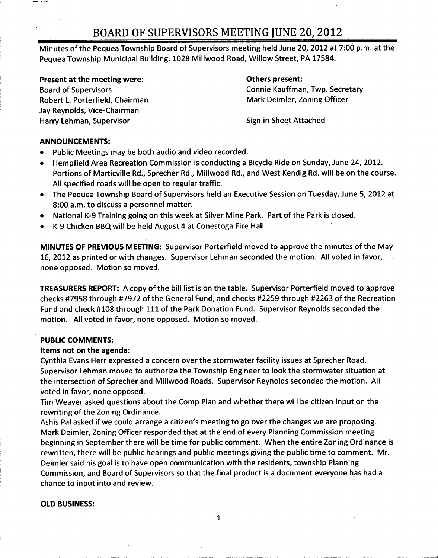## BOARD OF SUPERVISORS MEETING JUNE 20, 2012

Minutes of the Pequea Township Board of Supervisors meeting held June 20, 2012 at 7:00 p.m. at the Pequea Township Municipal Building, 1028 Millwood Road, Willow Street, PA 17584.

Present at the meeting were: The meeting were states and the system of the present:

Robert L. Porterfield, Chairman Jay Reynolds, Vice-Chairman Harry Lehman, Supervisor Sign in Sheet Attached

Board of Supervisors<br>
Robert L. Porterfield, Chairman<br>
Robert L. Porterfield, Chairman<br>
Connie Kauffman, Twp. Secretary

### ANNOUNCEMENTS:

erre sa

- Public Meetings may be both audio and video recorded.
- Hempfield Area Recreation Commission is conducting <sup>a</sup> Bicycle Ride on Sunday, June 24, 2012. Portions of Marticville Rd., Sprecher Rd., Millwood Rd., and West Kendig Rd. will be on the course. All specified roads will be open to regular traffic.
- The Pequea Township Board of Supervisors held an Executive Session on Tuesday, June 5, 2012 at  $\bullet$ 8:00 a.m. to discuss <sup>a</sup> personnel matter.
- National K-9 Training going on this week at Silver Mine Park. Part of the Park is closed.
- K -9 Chicken BBQ will be held August <sup>4</sup> at Conestoga Fire Hall.

MINUTES OF PREVIOUS MEETING: Supervisor Porterfield moved to approve the minutes of the May 16, 2012 as printed or with changes. Supervisor Lehman seconded the motion. All voted in favor, none opposed. Motion so moved.

TREASURERS REPORT: A copy of the bill list is on the table. Supervisor Porterfield moved to approve checks #7958 through #7972 of the General Fund, and checks #2259 through #2263 of the Recreation Fund and check #108 through <sup>111</sup> of the Park Donation Fund. Supervisor Reynolds seconded the motion. All voted in favor, none opposed. Motion so moved.

### PUBLIC COMMENTS:

## Items not on the agenda:

Cynthia Evans Herr expressed <sup>a</sup> concern over the stormwater facility issues at Sprecher Road. Supervisor Lehman moved to authorize the Township Engineer to look the stormwater situation at the intersection of Sprecher and Millwood Roads. Supervisor Reynolds seconded the motion. All voted in favor, none opposed.

Tim Weaver asked questions about the Comp Plan and whether there will be citizen input on the rewriting of the Zoning Ordinance.

Ashis Pal asked if we could arrange <sup>a</sup> citizen's meeting to go over the changes we are proposing. Mark Deimler, Zoning Officer responded that at the end of every Planning Commission meeting beginning in September there will be time for public comment. When the entire Zoning Ordinance is rewritten, there will be public hearings and public meetings giving the public time to comment. Mr. Deimler said his goal is to have open communication with the residents, township Planning Commission, and Board of Supervisors so that the final product is <sup>a</sup> document everyone has had <sup>a</sup> chance to input into and review.

## OLD BUSINESS:

1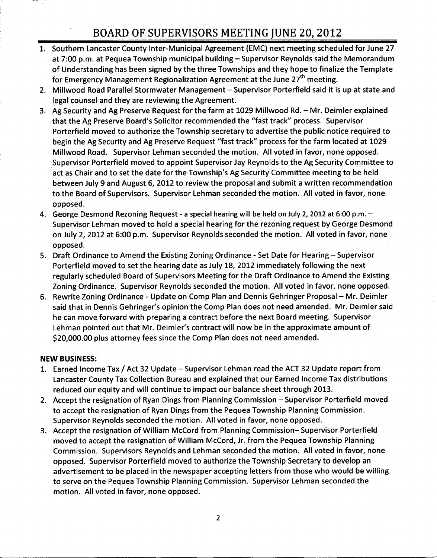## BOARD OF SUPERVISORS MEETING JUNE 20, 2012

- 1. Southern Lancaster County Inter-Municipal Agreement (EMC) next meeting scheduled for June 27 at 7:00 p.m. at Pequea Township municipal building — Supervisor Reynolds said the Memorandum of Understanding has been signed by the three Townships and they hope to finalize the Template for Emergency Management Regionalization Agreement at the June 27<sup>th</sup> meeting.
- 2. Millwood Road Parallel Stormwater Management Supervisor Porterfield said it is up at state and legal counsel and they are reviewing the Agreement.
- 3. Ag Security and Ag Preserve Request for the farm at 1029 Millwood Rd. Mr. Deimler explained<br>that the Ag Preserve Board's Solicitor recommended the "fast track" process. Supervisor Porterfield moved to authorize the Township secretary to advertise the public notice required to begin the Ag Security and Ag Preserve Request "fast track" process for the farm located at 1029 Millwood Road. Supervisor Lehman seconded the motion. All voted in favor, none opposed.<br>Supervisor Porterfield moved to appoint Supervisor Jay Reynolds to the Ag Security Committe<br>act as Chair and to set the date for the T Supervisor Porterfield moved to appoint Supervisor Jay Reynolds to the Ag Security Committee to between July <sup>9</sup> and August 6, 2012 to review the proposal and submit <sup>a</sup> written recommendation to the Board of Supervisors. Supervisor Lehman seconded the motion. All voted in favor, none opposed.
- 4. George Desmond Rezoning Request a special hearing will be held on July 2, 2012 at 6:00 p.m. Supervisor Lehman moved to hold <sup>a</sup> special hearing for the rezoning request by George Desmond on July 2, 2012 at 6:00 p.m. Supervisor Reynolds seconded the motion. All voted in favor, none opposed.
- 5. Draft Ordinance to Amend the Existing Zoning Ordinance Set Date for Hearing Supervisor Porterfield moved to set the hearing date as July 18, 2012 immediately following the next regularly scheduled Board of Supervisors Meeting for the Draft Ordinance to Amend the Existing Zoning Ordinance. Supervisor Reynolds seconded the motion. All voted in favor, none opposed.
- 6. Rewrite Zoning Ordinance Update on Comp Plan and Dennis Gehringer Proposal Mr. Deimler said that in Dennis Gehringer's opinion the Comp Plan does not need amended. Mr. Deimler said he can move forward with preparing <sup>a</sup> contract before the next Board meeting. Supervisor said that in Dennis Genringer's opinion the Comp Pian does not need amended. Twr. Deimi<br>he can move forward with preparing a contract before the next Board meeting. Supervisor<br>Lehman pointed out that Mr. Deimler's contract he can move forward with preparing a contract before the next Board meetii<br>Lehman pointed out that Mr. Deimler's contract will now be in the approxim<br>\$20,000.00 plus attorney fees since the Comp Plan does not need amended.

### NEW BUSINESS:

- 1. Earned Income Tax / Act <sup>32</sup> Update Supervisor Lehman read the ACT <sup>32</sup> Update report from Lancaster County Tax Collection Bureau and explained that our Earned Income Tax distributions reduced our equity and will continue to impact our balance sheet through 2013.
- 2. Accept the resignation of Ryan Dings from Planning Commission Supervisor Porterfield moved to accept the resignation of Ryan Dings from the Pequea Township Planning Commission. Supervisor Reynolds seconded the motion. All voted in favor, none opposed.
- 3. Accept the resignation of William McCord from Planning Commission— Supervisor Porterfield moved to accept the resignation of William McCord, Jr. from the Pequea Township Planning Commission. Supervisors Reynolds and Lehman seconded the motion. All voted in favor, none opposed. Supervisor Porterfield moved to authorize the Township Secretary to develop an advertisement to be placed in the newspaper accepting letters from those who would be willing to serve on the Pequea Township Planning Commission. Supervisor Lehman seconded the motion. All voted in favor, none opposed.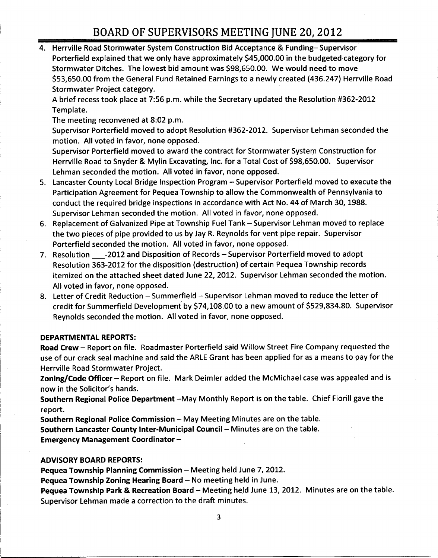# BOARD OF SUPERVISORS MEETING JUNE 20, 2012

4. Herrville Road Stormwater System Construction Bid Acceptance & Funding— Supervisor POTITING OF SOT ERVISORS MEETING JONE 20, 2012<br>Herrville Road Stormwater System Construction Bid Acceptance & Funding– Supervisor<br>Porterfield explained that we only have approximately \$45,000.00 in the budgeted category fo Herrville Road Stormwater System Construction Bid Acceptance & Funding-Supervisor<br>Porterfield explained that we only have approximately \$45,000.00 in the budgeted cate<br>Stormwater Ditches. The lowest bid amount was \$98,650. Porterfield explained that we only have approximately \$45,000.00 in the budgeted category for<br>Stormwater Ditches. The lowest bid amount was \$98,650.00. We would need to move<br>\$53,650.00 from the General Fund Retained Earnin Stormwater Project category.

<sup>A</sup> brief recess took place at 7:56 p.m. while the Secretary updated the Resolution #362 -2012 Template.

The meeting reconvened at 8:02 p.m.

Supervisor Porterfield moved to adopt Resolution #362 -2012. Supervisor Lehman seconded the motion. All voted in favor, none opposed.

Supervisor Porterfield moved to award the contract for Stormwater System Construction for motion. All voted in favor, none opposed.<br>Supervisor Porterfield moved to award the contract for Stormwater System Construction fo<br>Herrville Road to Snyder & Mylin Excavating, Inc. for a Total Cost of \$98,650.00. Superviso Lehman seconded the motion. All voted in favor, none opposed.

- 5. Lancaster County Local Bridge Inspection Program Supervisor Porterfield moved to execute the Participation Agreement for Pequea Township to allow the Commonwealth of Pennsylvania to conduct the required bridge inspections in accordance with Act No. 44 of March 30, 1988. Supervisor Lehman seconded the motion. All voted in favor, none opposed.
- 6. Replacement of Galvanized Pipe at Township Fuel Tank Supervisor Lehman moved to replace the two pieces of pipe provided to us by Jay R. Reynolds for vent pipe repair. Supervisor Porterfield seconded the motion. All voted in favor, none opposed.
- 7. Resolution = 2012 and Disposition of Records Supervisor Porterfield moved to adopt Resolution 363 -2012 for the disposition (destruction) of certain Pequea Township records itemized on the attached sheet dated June 22, 2012. Supervisor Lehman seconded the motion. All voted in favor, none opposed.
- 8. Letter of Credit Reduction Summerfield Supervisor Lehman moved to reduce the letter of credit for Summerfield Development by \$74,108.00 to a new amount of \$529,834.80. Supervisor Reynolds seconded the motion. All voted in favor, none opposed.

### DEPARTMENTAL REPORTS:

Road Crew — Report on file. Roadmaster Porterfield said Willow Street Fire Company requested the use of our crack seal machine and said the ARLE Grant has been applied for as <sup>a</sup> means to pay for the Herrville Road Stormwater Project.

Zoning/Code Officer – Report on file. Mark Deimler added the McMichael case was appealed and is Herrville Road Stormwater P<br>**Zoning/Code Officer** – Repor<br>now in the Solicitor's hands.

Southern Regional Police Department —May Monthly Report is on the table. Chief Fiorill gave the report.

Southern Regional Police Commission — May Meeting Minutes are on the table. Southern Lancaster County Inter - Municipal Council — Minutes are on the table. Emergency Management Coordinator —

### ADVISORY BOARD REPORTS:

Pequea Township Planning Commission — Meeting held June 7, 2012.

Pequea Township Zoning Hearing Board — No meeting held in June.

Pequea Township Park & Recreation Board — Meeting held June 13, 2012. Minutes are on the table. Supervisor Lehman made <sup>a</sup> correction to the draft minutes.

3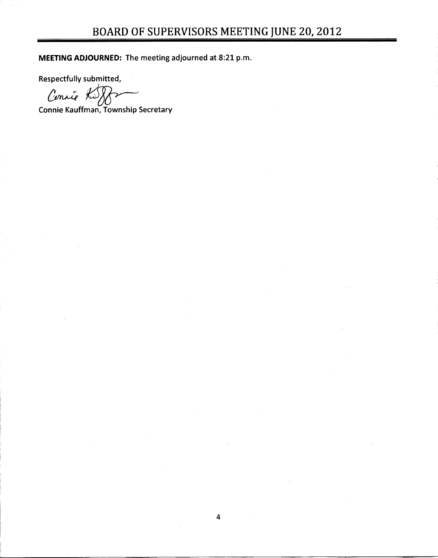MEETING ADJOURNED: The meeting adjourned at 8:21 p.m.

Respectfully submitted,

Cencio Ki

Connie Kauffman, Township Secretary